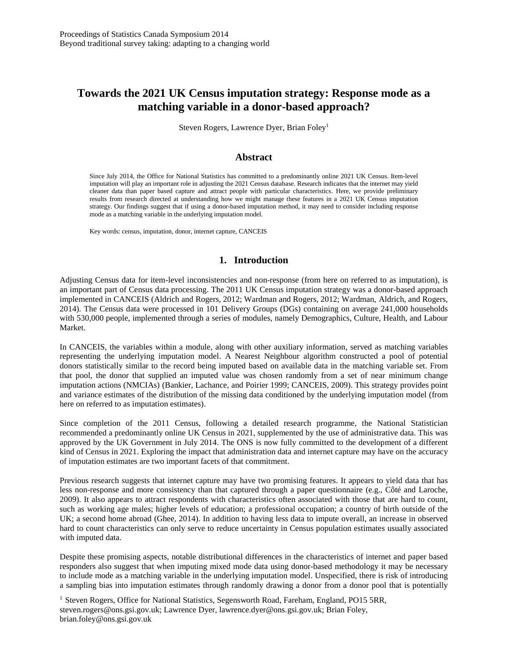# **Towards the 2021 UK Census imputation strategy: Response mode as a matching variable in a donor-based approach?**

Steven Rogers, Lawrence Dyer, Brian Foley<sup>1</sup>

#### **Abstract**

Since July 2014, the Office for National Statistics has committed to a predominantly online 2021 UK Census. Item-level imputation will play an important role in adjusting the 2021 Census database. Research indicates that the internet may yield cleaner data than paper based capture and attract people with particular characteristics. Here, we provide preliminary results from research directed at understanding how we might manage these features in a 2021 UK Census imputation strategy. Our findings suggest that if using a donor-based imputation method, it may need to consider including response mode as a matching variable in the underlying imputation model.

Key words: census, imputation, donor, internet capture, CANCEIS

## **1. Introduction**

Adjusting Census data for item-level inconsistencies and non-response (from here on referred to as imputation), is an important part of Census data processing. The 2011 UK Census imputation strategy was a donor-based approach implemented in CANCEIS (Aldrich and Rogers, 2012; Wardman and Rogers, 2012; Wardman, Aldrich, and Rogers, 2014). The Census data were processed in 101 Delivery Groups (DGs) containing on average 241,000 households with 530,000 people, implemented through a series of modules, namely Demographics, Culture, Health, and Labour Market.

In CANCEIS, the variables within a module, along with other auxiliary information, served as matching variables representing the underlying imputation model. A Nearest Neighbour algorithm constructed a pool of potential donors statistically similar to the record being imputed based on available data in the matching variable set. From that pool, the donor that supplied an imputed value was chosen randomly from a set of near minimum change imputation actions (NMCIAs) (Bankier, Lachance, and Poirier 1999; CANCEIS, 2009). This strategy provides point and variance estimates of the distribution of the missing data conditioned by the underlying imputation model (from here on referred to as imputation estimates).

Since completion of the 2011 Census, following a detailed research programme, the National Statistician recommended a predominantly online UK Census in 2021, supplemented by the use of administrative data. This was approved by the UK Government in July 2014. The ONS is now fully committed to the development of a different kind of Census in 2021. Exploring the impact that administration data and internet capture may have on the accuracy of imputation estimates are two important facets of that commitment.

Previous research suggests that internet capture may have two promising features. It appears to yield data that has less non-response and more consistency than that captured through a paper questionnaire (e.g., Côté and Laroche, 2009). It also appears to attract respondents with characteristics often associated with those that are hard to count, such as working age males; higher levels of education; a professional occupation; a country of birth outside of the UK; a second home abroad (Ghee, 2014). In addition to having less data to impute overall, an increase in observed hard to count characteristics can only serve to reduce uncertainty in Census population estimates usually associated with imputed data.

Despite these promising aspects, notable distributional differences in the characteristics of internet and paper based responders also suggest that when imputing mixed mode data using donor-based methodology it may be necessary to include mode as a matching variable in the underlying imputation model. Unspecified, there is risk of introducing a sampling bias into imputation estimates through randomly drawing a donor from a donor pool that is potentially

<sup>1</sup> Steven Rogers, Office for National Statistics, Segensworth Road, Fareham, England, PO15 5RR, steven.rogers@ons.gsi.gov.uk; Lawrence Dyer, lawrence.dyer@ons.gsi.gov.uk; Brian Foley, brian.foley@ons.gsi.gov.uk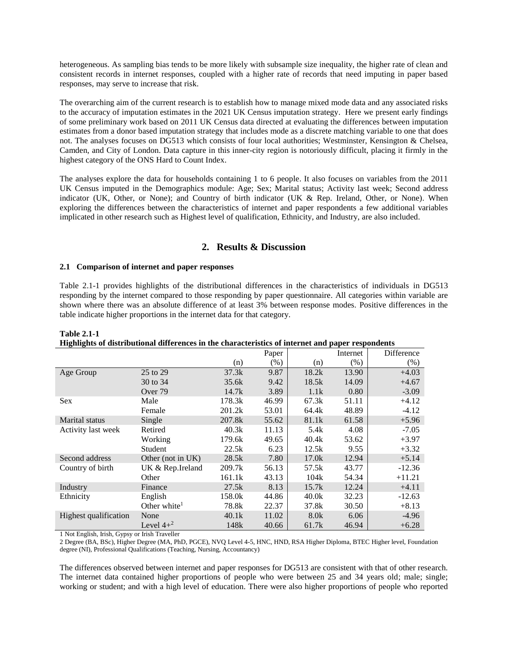heterogeneous. As sampling bias tends to be more likely with subsample size inequality, the higher rate of clean and consistent records in internet responses, coupled with a higher rate of records that need imputing in paper based responses, may serve to increase that risk.

The overarching aim of the current research is to establish how to manage mixed mode data and any associated risks to the accuracy of imputation estimates in the 2021 UK Census imputation strategy. Here we present early findings of some preliminary work based on 2011 UK Census data directed at evaluating the differences between imputation estimates from a donor based imputation strategy that includes mode as a discrete matching variable to one that does not. The analyses focuses on DG513 which consists of four local authorities; Westminster, Kensington & Chelsea, Camden, and City of London. Data capture in this inner-city region is notoriously difficult, placing it firmly in the highest category of the ONS Hard to Count Index.

The analyses explore the data for households containing 1 to 6 people. It also focuses on variables from the 2011 UK Census imputed in the Demographics module: Age; Sex; Marital status; Activity last week; Second address indicator (UK, Other, or None); and Country of birth indicator (UK & Rep. Ireland, Other, or None). When exploring the differences between the characteristics of internet and paper respondents a few additional variables implicated in other research such as Highest level of qualification, Ethnicity, and Industry, are also included.

## **2. Results & Discussion**

#### **2.1 Comparison of internet and paper responses**

Table 2.1-1 provides highlights of the distributional differences in the characteristics of individuals in DG513 responding by the internet compared to those responding by paper questionnaire. All categories within variable are shown where there was an absolute difference of at least 3% between response modes. Positive differences in the table indicate higher proportions in the internet data for that category.

| <u>raguagus or uperfoutional universities in the entracteristics or internet and paper respondents</u> |                          |        |        |                  |          |            |
|--------------------------------------------------------------------------------------------------------|--------------------------|--------|--------|------------------|----------|------------|
|                                                                                                        |                          |        | Paper  |                  | Internet | Difference |
|                                                                                                        |                          | (n)    | $(\%)$ | (n)              | (%)      | (% )       |
| Age Group                                                                                              | 25 to 29                 | 37.3k  | 9.87   | 18.2k            | 13.90    | $+4.03$    |
|                                                                                                        | 30 to 34                 | 35.6k  | 9.42   | 18.5k            | 14.09    | $+4.67$    |
|                                                                                                        | Over 79                  | 14.7k  | 3.89   | 1.1k             | 0.80     | $-3.09$    |
| Sex                                                                                                    | Male                     | 178.3k | 46.99  | 67.3k            | 51.11    | $+4.12$    |
|                                                                                                        | Female                   | 201.2k | 53.01  | 64.4k            | 48.89    | $-4.12$    |
| <b>Marital</b> status                                                                                  | Single                   | 207.8k | 55.62  | 81.1k            | 61.58    | $+5.96$    |
| Activity last week                                                                                     | Retired                  | 40.3k  | 11.13  | 5.4k             | 4.08     | $-7.05$    |
|                                                                                                        | Working                  | 179.6k | 49.65  | 40.4k            | 53.62    | $+3.97$    |
|                                                                                                        | Student                  | 22.5k  | 6.23   | 12.5k            | 9.55     | $+3.32$    |
| Second address                                                                                         | Other (not in UK)        | 28.5k  | 7.80   | 17.0k            | 12.94    | $+5.14$    |
| Country of birth                                                                                       | UK & Rep.Ireland         | 209.7k | 56.13  | 57.5k            | 43.77    | $-12.36$   |
|                                                                                                        | Other                    | 161.1k | 43.13  | 104k             | 54.34    | $+11.21$   |
| Industry                                                                                               | Finance                  | 27.5k  | 8.13   | 15.7k            | 12.24    | $+4.11$    |
| Ethnicity                                                                                              | English                  | 158.0k | 44.86  | 40.0k            | 32.23    | $-12.63$   |
|                                                                                                        | Other white <sup>1</sup> | 78.8k  | 22.37  | 37.8k            | 30.50    | $+8.13$    |
| Highest qualification                                                                                  | None                     | 40.1k  | 11.02  | 8.0 <sub>k</sub> | 6.06     | $-4.96$    |
|                                                                                                        | Level $4+^2$             | 148k   | 40.66  | 61.7k            | 46.94    | $+6.28$    |

**Highlights of distributional differences in the characteristics of internet and paper respondents**

1 Not English, Irish, Gypsy or Irish Traveller

**Table 2.1-1**

2 Degree (BA, BSc), Higher Degree (MA, PhD, PGCE), NVQ Level 4-5, HNC, HND, RSA Higher Diploma, BTEC Higher level, Foundation degree (NI), Professional Qualifications (Teaching, Nursing, Accountancy)

The differences observed between internet and paper responses for DG513 are consistent with that of other research. The internet data contained higher proportions of people who were between 25 and 34 years old; male; single; working or student; and with a high level of education. There were also higher proportions of people who reported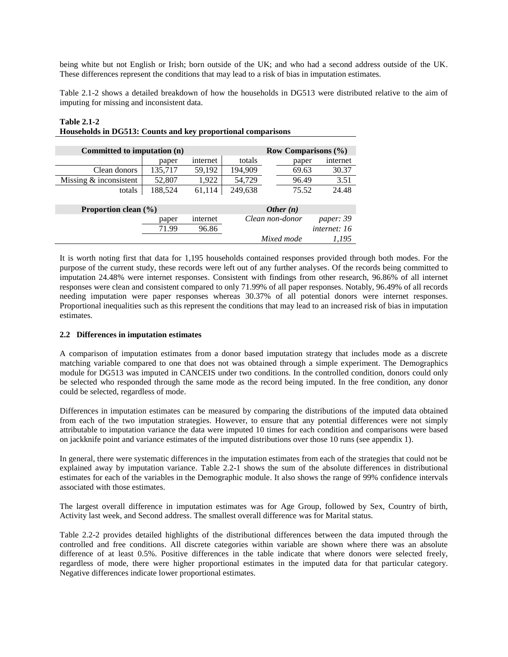being white but not English or Irish; born outside of the UK; and who had a second address outside of the UK. These differences represent the conditions that may lead to a risk of bias in imputation estimates.

Table 2.1-2 shows a detailed breakdown of how the households in DG513 were distributed relative to the aim of imputing for missing and inconsistent data.

| Committed to imputation (n) | <b>Row Comparisons (%)</b> |          |                 |            |              |  |
|-----------------------------|----------------------------|----------|-----------------|------------|--------------|--|
|                             | paper                      | internet | totals          | paper      | internet     |  |
| Clean donors                | 135,717                    | 59,192   | 194,909         | 69.63      | 30.37        |  |
| Missing $&$ inconsistent    | 52,807                     | 1,922    | 54,729          | 96.49      | 3.51         |  |
| totals                      | 188,524                    | 61,114   | 249,638         | 75.52      | 24.48        |  |
| Proportion clean $(\% )$    |                            |          | Other $(n)$     |            |              |  |
|                             | paper                      | internet | Clean non-donor |            | paper: 39    |  |
|                             | 71.99                      | 96.86    |                 |            | internet: 16 |  |
|                             |                            |          |                 | Mixed mode | 1.195        |  |

## **Table 2.1-2 Households in DG513: Counts and key proportional comparisons**

It is worth noting first that data for 1,195 households contained responses provided through both modes. For the purpose of the current study, these records were left out of any further analyses. Of the records being committed to imputation 24.48% were internet responses. Consistent with findings from other research, 96.86% of all internet responses were clean and consistent compared to only 71.99% of all paper responses. Notably, 96.49% of all records needing imputation were paper responses whereas 30.37% of all potential donors were internet responses. Proportional inequalities such as this represent the conditions that may lead to an increased risk of bias in imputation estimates.

#### **2.2 Differences in imputation estimates**

A comparison of imputation estimates from a donor based imputation strategy that includes mode as a discrete matching variable compared to one that does not was obtained through a simple experiment. The Demographics module for DG513 was imputed in CANCEIS under two conditions. In the controlled condition, donors could only be selected who responded through the same mode as the record being imputed. In the free condition, any donor could be selected, regardless of mode.

Differences in imputation estimates can be measured by comparing the distributions of the imputed data obtained from each of the two imputation strategies. However, to ensure that any potential differences were not simply attributable to imputation variance the data were imputed 10 times for each condition and comparisons were based on jackknife point and variance estimates of the imputed distributions over those 10 runs (see appendix 1).

In general, there were systematic differences in the imputation estimates from each of the strategies that could not be explained away by imputation variance. Table 2.2-1 shows the sum of the absolute differences in distributional estimates for each of the variables in the Demographic module. It also shows the range of 99% confidence intervals associated with those estimates.

The largest overall difference in imputation estimates was for Age Group, followed by Sex, Country of birth, Activity last week, and Second address. The smallest overall difference was for Marital status.

Table 2.2-2 provides detailed highlights of the distributional differences between the data imputed through the controlled and free conditions. All discrete categories within variable are shown where there was an absolute difference of at least 0.5%. Positive differences in the table indicate that where donors were selected freely, regardless of mode, there were higher proportional estimates in the imputed data for that particular category. Negative differences indicate lower proportional estimates.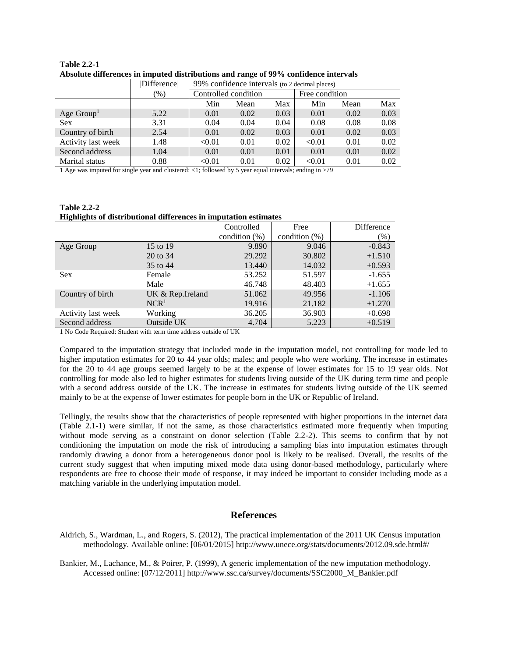|                    | Difference    | 99% confidence intervals (to 2 decimal places) |      |      |                |      |      |
|--------------------|---------------|------------------------------------------------|------|------|----------------|------|------|
|                    | $\frac{9}{6}$ | Controlled condition                           |      |      | Free condition |      |      |
|                    |               | Min                                            | Mean | Max  | Min            | Mean | Max  |
| Age $Group1$       | 5.22          | 0.01                                           | 0.02 | 0.03 | 0.01           | 0.02 | 0.03 |
| <b>Sex</b>         | 3.31          | 0.04                                           | 0.04 | 0.04 | 0.08           | 0.08 | 0.08 |
| Country of birth   | 2.54          | 0.01                                           | 0.02 | 0.03 | 0.01           | 0.02 | 0.03 |
| Activity last week | 1.48          | < 0.01                                         | 0.01 | 0.02 | < 0.01         | 0.01 | 0.02 |
| Second address     | 1.04          | 0.01                                           | 0.01 | 0.01 | 0.01           | 0.01 | 0.02 |
| Marital status     | 0.88          | < 0.01                                         | 0.01 | 0.02 | < 0.01         | 0.01 | 0.02 |

**Table 2.2-1 Absolute differences in imputed distributions and range of 99% confidence intervals**

1 Age was imputed for single year and clustered: <1; followed by 5 year equal intervals; ending in >79

**Table 2.2-2 Highlights of distributional differences in imputation estimates**

|                    |                  | Controlled       | Free             | Difference |
|--------------------|------------------|------------------|------------------|------------|
|                    |                  | condition $(\%)$ | condition $(\%)$ | (% )       |
| Age Group          | 15 to 19         | 9.890            | 9.046            | $-0.843$   |
|                    | 20 to 34         | 29.292           | 30.802           | $+1.510$   |
|                    | 35 to 44         | 13.440           | 14.032           | $+0.593$   |
| <b>Sex</b>         | Female           | 53.252           | 51.597           | $-1.655$   |
|                    | Male             | 46.748           | 48.403           | $+1.655$   |
| Country of birth   | UK & Rep.Ireland | 51.062           | 49.956           | $-1.106$   |
|                    | NCR <sup>1</sup> | 19.916           | 21.182           | $+1.270$   |
| Activity last week | Working          | 36.205           | 36.903           | $+0.698$   |
| Second address     | Outside UK       | 4.704            | 5.223            | $+0.519$   |

1 No Code Required: Student with term time address outside of UK

Compared to the imputation strategy that included mode in the imputation model, not controlling for mode led to higher imputation estimates for 20 to 44 year olds; males; and people who were working. The increase in estimates for the 20 to 44 age groups seemed largely to be at the expense of lower estimates for 15 to 19 year olds. Not controlling for mode also led to higher estimates for students living outside of the UK during term time and people with a second address outside of the UK. The increase in estimates for students living outside of the UK seemed mainly to be at the expense of lower estimates for people born in the UK or Republic of Ireland.

Tellingly, the results show that the characteristics of people represented with higher proportions in the internet data (Table 2.1-1) were similar, if not the same, as those characteristics estimated more frequently when imputing without mode serving as a constraint on donor selection (Table 2.2-2). This seems to confirm that by not conditioning the imputation on mode the risk of introducing a sampling bias into imputation estimates through randomly drawing a donor from a heterogeneous donor pool is likely to be realised. Overall, the results of the current study suggest that when imputing mixed mode data using donor-based methodology, particularly where respondents are free to choose their mode of response, it may indeed be important to consider including mode as a matching variable in the underlying imputation model.

## **References**

Aldrich, S., Wardman, L., and Rogers, S. (2012), The practical implementation of the 2011 UK Census imputation methodology. Available online: [06/01/2015] http://www.unece.org/stats/documents/2012.09.sde.html#/

Bankier, M., Lachance, M., & Poirer, P. (1999), A generic implementation of the new imputation methodology. Accessed online: [07/12/2011] http://www.ssc.ca/survey/documents/SSC2000\_M\_Bankier.pdf